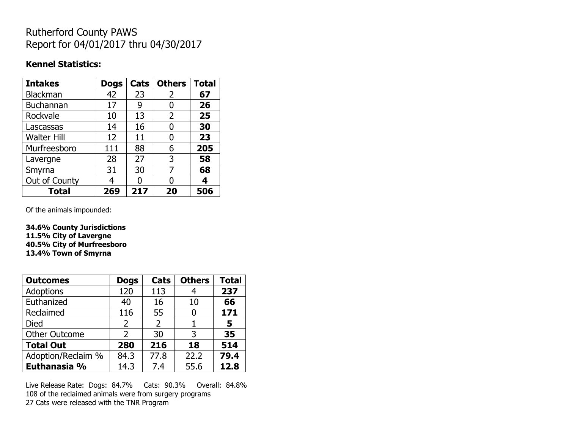## Rutherford County PAWS Report for 04/01/2017 thru 04/30/2017

### **Kennel Statistics:**

| <b>Intakes</b>     | <b>Dogs</b> | Cats | <b>Others</b> | <b>Total</b> |
|--------------------|-------------|------|---------------|--------------|
| <b>Blackman</b>    | 42          | 23   | 2             | 67           |
| <b>Buchannan</b>   | 17          | 9    | 0             | 26           |
| Rockvale           | 10          | 13   | 2             | 25           |
| Lascassas          | 14          | 16   | 0             | 30           |
| <b>Walter Hill</b> | 12          | 11   | 0             | 23           |
| Murfreesboro       | 111         | 88   | 6             | 205          |
| Lavergne           | 28          | 27   | 3             | 58           |
| Smyrna             | 31          | 30   | 7             | 68           |
| Out of County      | 4           | N    | 0             | 4            |
| <b>Total</b>       | 269         | 217  | 20            | 506          |

Of the animals impounded:

**34.6% County Jurisdictions 11.5% City of Lavergne 40.5% City of Murfreesboro 13.4% Town of Smyrna**

| <b>Outcomes</b>      | <b>Dogs</b>    | Cats           | <b>Others</b> | <b>Total</b> |
|----------------------|----------------|----------------|---------------|--------------|
| <b>Adoptions</b>     | 120            | 113            |               | 237          |
| Euthanized           | 40             | 16             | 10            | 66           |
| Reclaimed            | 116            | 55             | 0             | 171          |
| Died                 | 2              | $\overline{2}$ |               | 5            |
| <b>Other Outcome</b> | $\overline{2}$ | 30             | 3             | 35           |
| <b>Total Out</b>     | 280            | 216            | 18            | 514          |
| Adoption/Reclaim %   | 84.3           | 77.8           | 22.2          | 79.4         |
| Euthanasia %         | 14.3           | 7.4            | 55.6          | 12.8         |

Live Release Rate: Dogs: 84.7% Cats: 90.3% Overall: 84.8% 108 of the reclaimed animals were from surgery programs 27 Cats were released with the TNR Program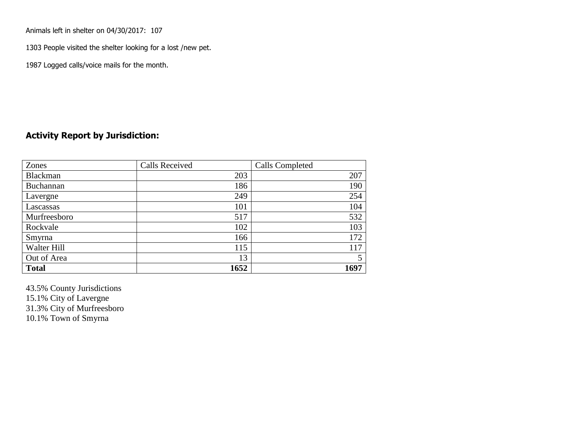Animals left in shelter on 04/30/2017: 107

1303 People visited the shelter looking for a lost /new pet.

1987 Logged calls/voice mails for the month.

#### **Activity Report by Jurisdiction:**

| Zones           | <b>Calls Received</b> | Calls Completed |
|-----------------|-----------------------|-----------------|
| <b>Blackman</b> | 203                   | 207             |
| Buchannan       | 186                   | 190             |
| Lavergne        | 249                   | 254             |
| Lascassas       | 101                   | 104             |
| Murfreesboro    | 517                   | 532             |
| Rockvale        | 102                   | 103             |
| Smyrna          | 166                   | 172             |
| Walter Hill     | 115                   | 117             |
| Out of Area     | 13                    |                 |
| <b>Total</b>    | 1652                  | 1697            |

43.5% County Jurisdictions 15.1% City of Lavergne 31.3% City of Murfreesboro 10.1% Town of Smyrna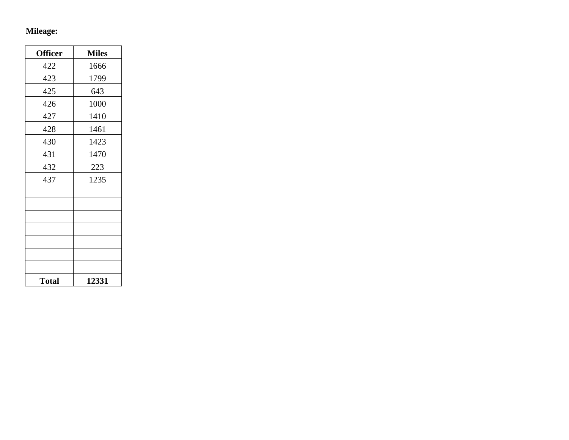# **Mileage:**

| <b>Officer</b> | <b>Miles</b> |
|----------------|--------------|
| 422            | 1666         |
| 423            | 1799         |
| 425            | 643          |
| 426            | 1000         |
| 427            | 1410         |
| 428            | 1461         |
| 430            | 1423         |
| 431            | 1470         |
| 432            | 223          |
| 437            | 1235         |
|                |              |
|                |              |
|                |              |
|                |              |
|                |              |
|                |              |
|                |              |
| <b>Total</b>   | 12331        |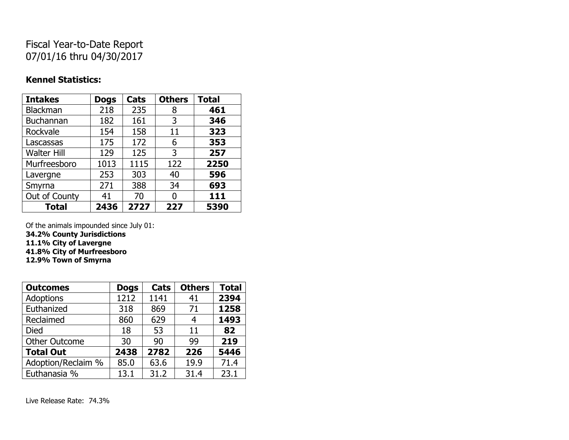## Fiscal Year-to-Date Report 07/01/16 thru 04/30/2017

#### **Kennel Statistics:**

| <b>Intakes</b>     | <b>Dogs</b> | Cats | <b>Others</b> | <b>Total</b> |
|--------------------|-------------|------|---------------|--------------|
| <b>Blackman</b>    | 218         | 235  | 8             | 461          |
| <b>Buchannan</b>   | 182         | 161  | 3             | 346          |
| Rockvale           | 154         | 158  | 11            | 323          |
| Lascassas          | 175         | 172  | 6             | 353          |
| <b>Walter Hill</b> | 129         | 125  | 3             | 257          |
| Murfreesboro       | 1013        | 1115 | 122           | 2250         |
| Lavergne           | 253         | 303  | 40            | 596          |
| Smyrna             | 271         | 388  | 34            | 693          |
| Out of County      | 41          | 70   | 0             | 111          |
| <b>Total</b>       | 2436        | 2727 | 227           | 5390         |

Of the animals impounded since July 01:

**34.2% County Jurisdictions**

**11.1% City of Lavergne**

**41.8% City of Murfreesboro**

**12.9% Town of Smyrna**

| <b>Outcomes</b>      | <b>Dogs</b> | Cats | <b>Others</b> | <b>Total</b> |
|----------------------|-------------|------|---------------|--------------|
| <b>Adoptions</b>     | 1212        | 1141 | 41            | 2394         |
| Euthanized           | 318         | 869  | 71            | 1258         |
| Reclaimed            | 860         | 629  | 4             | 1493         |
| <b>Died</b>          | 18          | 53   | 11            | 82           |
| <b>Other Outcome</b> | 30          | 90   | 99            | 219          |
| <b>Total Out</b>     | 2438        | 2782 | 226           | 5446         |
| Adoption/Reclaim %   | 85.0        | 63.6 | 19.9          | 71.4         |
| Euthanasia %         | 13.1        | 31.2 | 31.4          | 23.1         |

Live Release Rate: 74.3%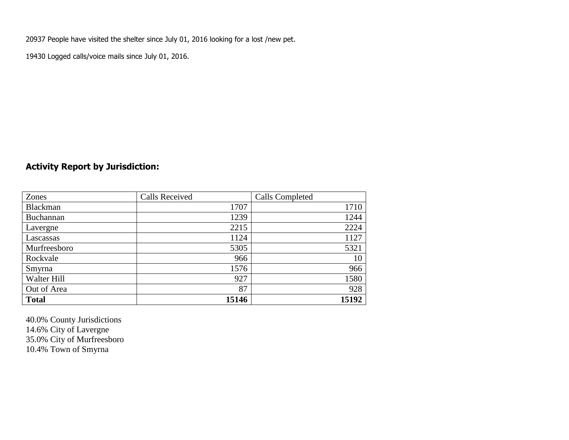20937 People have visited the shelter since July 01, 2016 looking for a lost /new pet.

19430 Logged calls/voice mails since July 01, 2016.

### **Activity Report by Jurisdiction:**

| Zones           | <b>Calls Received</b> | Calls Completed |
|-----------------|-----------------------|-----------------|
| <b>Blackman</b> | 1707                  | 1710            |
| Buchannan       | 1239                  | 1244            |
| Lavergne        | 2215                  | 2224            |
| Lascassas       | 1124                  | 1127            |
| Murfreesboro    | 5305                  | 5321            |
| Rockvale        | 966                   | 10              |
| Smyrna          | 1576                  | 966             |
| Walter Hill     | 927                   | 1580            |
| Out of Area     | 87                    | 928             |
| <b>Total</b>    | 15146                 | 15192           |

40.0% County Jurisdictions 14.6% City of Lavergne 35.0% City of Murfreesboro 10.4% Town of Smyrna